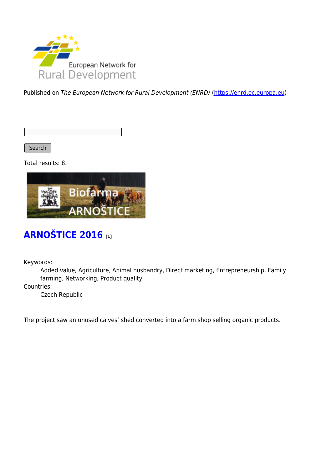

Published on The European Network for Rural Development (ENRD) [\(https://enrd.ec.europa.eu](https://enrd.ec.europa.eu))

Search

Total results: 8.



# **[ARNOŠTICE 2016](https://enrd.ec.europa.eu/projects-practice/arnostice-2016_en) [1]**

Keywords:

Added value, Agriculture, Animal husbandry, Direct marketing, Entrepreneurship, Family farming, Networking, Product quality

Countries:

Czech Republic

The project saw an unused calves' shed converted into a farm shop selling organic products.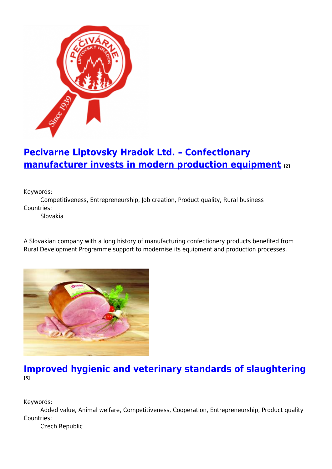

# **[Pecivarne Liptovsky Hradok Ltd. – Confectionary](https://enrd.ec.europa.eu/projects-practice/pecivarne-liptovsky-hradok-ltd-confectionary-manufacturer-invests-modern_en) [manufacturer invests in modern production equipment](https://enrd.ec.europa.eu/projects-practice/pecivarne-liptovsky-hradok-ltd-confectionary-manufacturer-invests-modern_en) [2]**

Keywords:

Competitiveness, Entrepreneurship, Job creation, Product quality, Rural business Countries:

Slovakia

A Slovakian company with a long history of manufacturing confectionery products benefited from Rural Development Programme support to modernise its equipment and production processes.



### **[Improved hygienic and veterinary standards of slaughtering](https://enrd.ec.europa.eu/projects-practice/improved-hygienic-and-veterinary-standards-slaughtering_en) [3]**

Keywords:

Added value, Animal welfare, Competitiveness, Cooperation, Entrepreneurship, Product quality Countries:

Czech Republic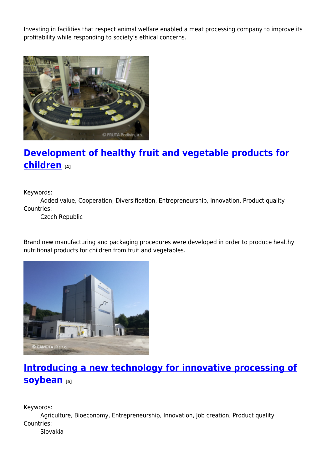Investing in facilities that respect animal welfare enabled a meat processing company to improve its profitability while responding to society's ethical concerns.



# **[Development of healthy fruit and vegetable products for](https://enrd.ec.europa.eu/projects-practice/development-healthy-fruit-and-vegetable-products-children_en) [children](https://enrd.ec.europa.eu/projects-practice/development-healthy-fruit-and-vegetable-products-children_en) [4]**

Keywords:

Added value, Cooperation, Diversification, Entrepreneurship, Innovation, Product quality Countries:

Czech Republic

Brand new manufacturing and packaging procedures were developed in order to produce healthy nutritional products for children from fruit and vegetables.



# **[Introducing a new technology for innovative processing of](https://enrd.ec.europa.eu/projects-practice/introducing-new-technology-innovative-processing-soybean_en) [soybean](https://enrd.ec.europa.eu/projects-practice/introducing-new-technology-innovative-processing-soybean_en) [5]**

Keywords:

Agriculture, Bioeconomy, Entrepreneurship, Innovation, Job creation, Product quality Countries:

Slovakia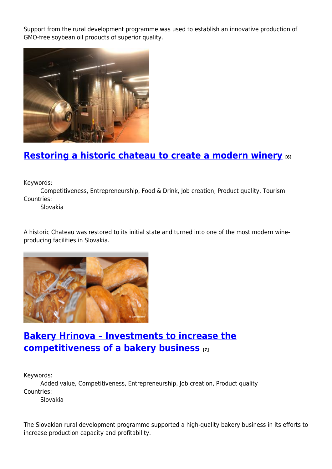Support from the rural development programme was used to establish an innovative production of GMO-free soybean oil products of superior quality.



## **[Restoring a historic chateau to create a modern winery](https://enrd.ec.europa.eu/projects-practice/restoring-historic-chateau-create-modern-winery_en) [6]**

Keywords:

Competitiveness, Entrepreneurship, Food & Drink, Job creation, Product quality, Tourism Countries:

Slovakia

A historic Chateau was restored to its initial state and turned into one of the most modern wineproducing facilities in Slovakia.



### **[Bakery Hrinova – Investments to increase the](https://enrd.ec.europa.eu/projects-practice/bakery-hrinova-investments-increase-competitiveness-bakery-business_en) [competitiveness of a bakery business](https://enrd.ec.europa.eu/projects-practice/bakery-hrinova-investments-increase-competitiveness-bakery-business_en) [7]**

Keywords:

Added value, Competitiveness, Entrepreneurship, Job creation, Product quality Countries:

Slovakia

The Slovakian rural development programme supported a high-quality bakery business in its efforts to increase production capacity and profitability.